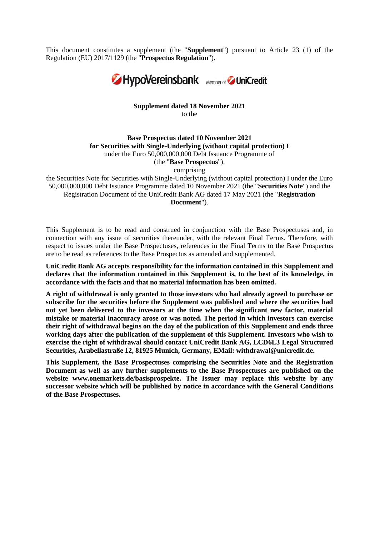This document constitutes a supplement (the "**Supplement**") pursuant to Article 23 (1) of the Regulation (EU) 2017/1129 (the "**Prospectus Regulation**").



## **Supplement dated 18 November 2021** to the

## **Base Prospectus dated 10 November 2021 for Securities with Single-Underlying (without capital protection) I** under the Euro 50,000,000,000 Debt Issuance Programme of (the "**Base Prospectus**"), comprising

the Securities Note for Securities with Single-Underlying (without capital protection) I under the Euro 50,000,000,000 Debt Issuance Programme dated 10 November 2021 (the "**Securities Note**") and the Registration Document of the UniCredit Bank AG dated 17 May 2021 (the "**Registration Document**").

This Supplement is to be read and construed in conjunction with the Base Prospectuses and, in connection with any issue of securities thereunder, with the relevant Final Terms. Therefore, with respect to issues under the Base Prospectuses, references in the Final Terms to the Base Prospectus are to be read as references to the Base Prospectus as amended and supplemented.

**UniCredit Bank AG accepts responsibility for the information contained in this Supplement and declares that the information contained in this Supplement is, to the best of its knowledge, in accordance with the facts and that no material information has been omitted.**

**A right of withdrawal is only granted to those investors who had already agreed to purchase or subscribe for the securities before the Supplement was published and where the securities had not yet been delivered to the investors at the time when the significant new factor, material mistake or material inaccuracy arose or was noted. The period in which investors can exercise their right of withdrawal begins on the day of the publication of this Supplement and ends three working days after the publication of the supplement of this Supplement. Investors who wish to exercise the right of withdrawal should contact UniCredit Bank AG, LCD6L3 Legal Structured Securities, Arabellastraße 12, 81925 Munich, Germany, EMail: [withdrawal@unicredit.de.](mailto:withdrawal@unicredit.de)**

**This Supplement, the Base Prospectuses comprising the Securities Note and the Registration Document as well as any further supplements to the Base Prospectuses are published on the website www.onemarkets.de/basisprospekte. The Issuer may replace this website by any successor website which will be published by notice in accordance with the General Conditions of the Base Prospectuses.**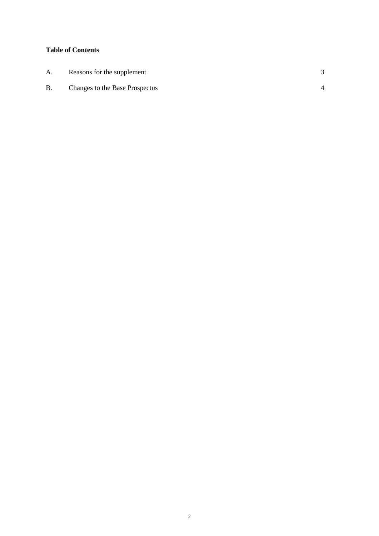# **Table of Contents**

| A.        | Reasons for the supplement     |  |
|-----------|--------------------------------|--|
| <b>B.</b> | Changes to the Base Prospectus |  |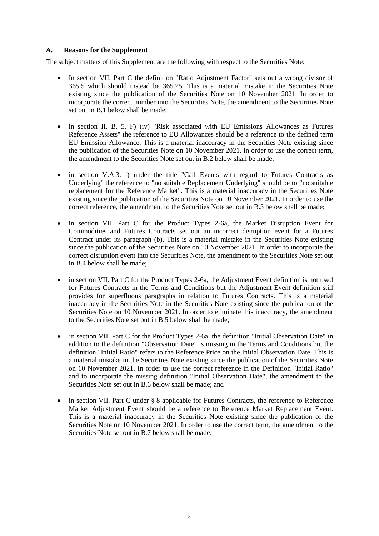## **A. Reasons for the Supplement**

The subject matters of this Supplement are the following with respect to the Securities Note:

- In section VII. Part C the definition "Ratio Adjustment Factor" sets out a wrong divisor of 365.5 which should instead be 365.25. This is a material mistake in the Securities Note existing since the publication of the Securities Note on 10 November 2021. In order to incorporate the correct number into the Securities Note, the amendment to the Securities Note set out in B.1 below shall be made:
- in section II. B. 5. F) (iv) "Risk associated with EU Emissions Allowances as Futures Reference Assets" the reference to EU Allowances should be a reference to the defined term EU Emission Allowance. This is a material inaccuracy in the Securities Note existing since the publication of the Securities Note on 10 November 2021. In order to use the correct term, the amendment to the Securities Note set out in B.2 below shall be made;
- in section V.A.3. i) under the title "Call Events with regard to Futures Contracts as Underlying" the reference to "no suitable Replacement Underlying" should be to "no suitable replacement for the Reference Market". This is a material inaccuracy in the Securities Note existing since the publication of the Securities Note on 10 November 2021. In order to use the correct reference, the amendment to the Securities Note set out in B.3 below shall be made;
- in section VII. Part C for the Product Types 2-6a, the Market Disruption Event for Commodities and Futures Contracts set out an incorrect disruption event for a Futures Contract under its paragraph (b). This is a material mistake in the Securities Note existing since the publication of the Securities Note on 10 November 2021. In order to incorporate the correct disruption event into the Securities Note, the amendment to the Securities Note set out in B.4 below shall be made;
- in section VII. Part C for the Product Types 2-6a, the Adjustment Event definition is not used for Futures Contracts in the Terms and Conditions but the Adjustment Event definition still provides for superfluous paragraphs in relation to Futures Contracts. This is a material inaccuracy in the Securities Note in the Securities Note existing since the publication of the Securities Note on 10 November 2021. In order to eliminate this inaccuracy, the amendment to the Securities Note set out in B.5 below shall be made;
- in section VII. Part C for the Product Types 2-6a, the definition "Initial Observation Date" in addition to the definition "Observation Date" is missing in the Terms and Conditions but the definition "Initial Ratio" refers to the Reference Price on the Initial Observation Date. This is a material mistake in the Securities Note existing since the publication of the Securities Note on 10 November 2021. In order to use the correct reference in the Definition "Initial Ratio" and to incorporate the missing definition "Initial Observation Date", the amendment to the Securities Note set out in B.6 below shall be made; and
- in section VII. Part C under § 8 applicable for Futures Contracts, the reference to Reference Market Adjustment Event should be a reference to Reference Market Replacement Event. This is a material inaccuracy in the Securities Note existing since the publication of the Securities Note on 10 November 2021. In order to use the correct term, the amendment to the Securities Note set out in B.7 below shall be made.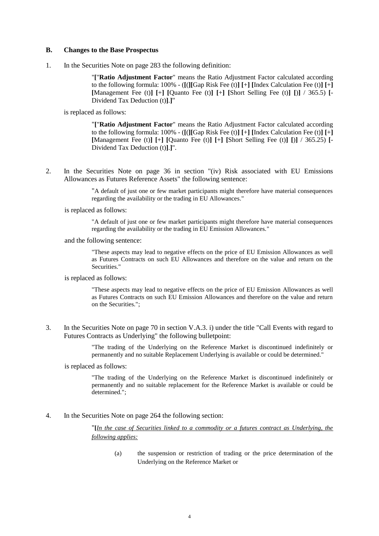#### **B. Changes to the Base Prospectus**

1. In the Securities Note on page 283 the following definition:

"**[**"**Ratio Adjustment Factor**" means the Ratio Adjustment Factor calculated according to the following formula: 100% - (**[**(**][**Gap Risk Fee (t)**] [**+**] [**Index Calculation Fee (t)**] [**+**] [**Management Fee (t)**] [**+**] [**Quanto Fee (t)**] [**+**] [**Short Selling Fee (t)**] [**)**]** / 365.5) **[**- Dividend Tax Deduction (t)**]**.**]**"

is replaced as follows:

"**[**"**Ratio Adjustment Factor**" means the Ratio Adjustment Factor calculated according to the following formula: 100% - (**[**(**][**Gap Risk Fee (t)**] [**+**] [**Index Calculation Fee (t)**] [**+**] [**Management Fee (t)**] [**+**] [**Quanto Fee (t)**] [**+**] [**Short Selling Fee (t)**] [**)**]** / 365.25) **[**- Dividend Tax Deduction (t)**]**.**]**".

2. In the Securities Note on page 36 in section "(iv) Risk associated with EU Emissions Allowances as Futures Reference Assets" the following sentence:

> "A default of just one or few market participants might therefore have material consequences regarding the availability or the trading in EU Allowances."

is replaced as follows:

"A default of just one or few market participants might therefore have material consequences regarding the availability or the trading in EU Emission Allowances."

and the following sentence:

"These aspects may lead to negative effects on the price of EU Emission Allowances as well as Futures Contracts on such EU Allowances and therefore on the value and return on the Securities."

is replaced as follows:

"These aspects may lead to negative effects on the price of EU Emission Allowances as well as Futures Contracts on such EU Emission Allowances and therefore on the value and return on the Securities.";

3. In the Securities Note on page 70 in section V.A.3. i) under the title "Call Events with regard to Futures Contracts as Underlying" the following bulletpoint:

> "The trading of the Underlying on the Reference Market is discontinued indefinitely or permanently and no suitable Replacement Underlying is available or could be determined."

#### is replaced as follows:

"The trading of the Underlying on the Reference Market is discontinued indefinitely or permanently and no suitable replacement for the Reference Market is available or could be determined.";

#### 4. In the Securities Note on page 264 the following section:

"**[***In the case of Securities linked to a commodity or a futures contract as Underlying, the following applies:*

(a) the suspension or restriction of trading or the price determination of the Underlying on the Reference Market or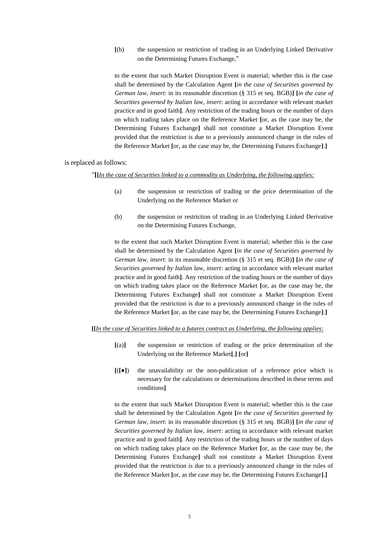**[**(b) the suspension or restriction of trading in an Underlying Linked Derivative on the Determining Futures Exchange,"

to the extent that such Market Disruption Event is material; whether this is the case shall be determined by the Calculation Agent **[***in the case of Securities governed by German law, insert*: in its reasonable discretion (§ 315 et seq. BGB)**] [***in the case of Securities governed by Italian law, insert*: acting in accordance with relevant market practice and in good faith**]**. Any restriction of the trading hours or the number of days on which trading takes place on the Reference Market **[**or, as the case may be, the Determining Futures Exchange**]** shall not constitute a Market Disruption Event provided that the restriction is due to a previously announced change in the rules of the Reference Market **[**or, as the case may be, the Determining Futures Exchange**]**.**]**

#### is replaced as follows:

"**[[***In the case of Securities linked to a commodity as Underlying, the following applies:*

- (a) the suspension or restriction of trading or the price determination of the Underlying on the Reference Market or
- (b) the suspension or restriction of trading in an Underlying Linked Derivative on the Determining Futures Exchange,

to the extent that such Market Disruption Event is material; whether this is the case shall be determined by the Calculation Agent **[***in the case of Securities governed by German law, insert*: in its reasonable discretion (§ 315 et seq. BGB)**] [***in the case of Securities governed by Italian law, insert*: acting in accordance with relevant market practice and in good faith**]**. Any restriction of the trading hours or the number of days on which trading takes place on the Reference Market **[**or, as the case may be, the Determining Futures Exchange**]** shall not constitute a Market Disruption Event provided that the restriction is due to a previously announced change in the rules of the Reference Market **[**or, as the case may be, the Determining Futures Exchange**]**.**]**

#### **[[***In the case of Securities linked to a futures contract as Underlying, the following applies:*

- **[**(a)**]** the suspension or restriction of trading or the price determination of the Underlying on the Reference Market**[**,**] [**or**]**
- **[**(**[**●**]**) the unavailability or the non-publication of a reference price which is necessary for the calculations or determinations described in these terms and conditions**]**

to the extent that such Market Disruption Event is material; whether this is the case shall be determined by the Calculation Agent **[***in the case of Securities governed by German law, insert*: in its reasonable discretion (§ 315 et seq. BGB)**] [***in the case of Securities governed by Italian law, insert*: acting in accordance with relevant market practice and in good faith**]**. Any restriction of the trading hours or the number of days on which trading takes place on the Reference Market **[**or, as the case may be, the Determining Futures Exchange**]** shall not constitute a Market Disruption Event provided that the restriction is due to a previously announced change in the rules of the Reference Market **[**or, as the case may be, the Determining Futures Exchange**]**.**]**